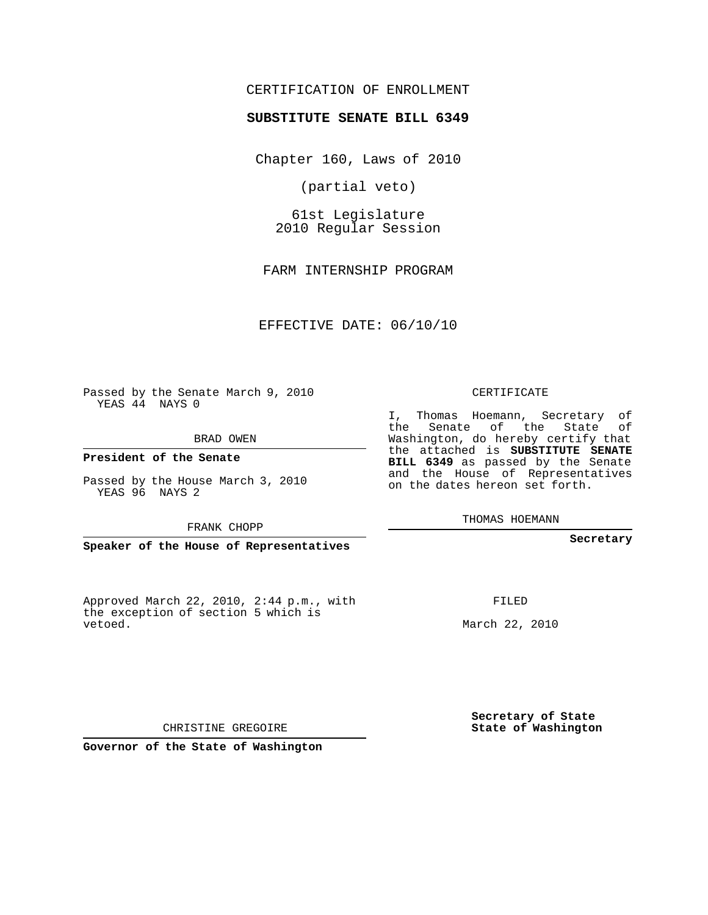#### CERTIFICATION OF ENROLLMENT

#### **SUBSTITUTE SENATE BILL 6349**

Chapter 160, Laws of 2010

(partial veto)

61st Legislature 2010 Regular Session

FARM INTERNSHIP PROGRAM

EFFECTIVE DATE: 06/10/10

Passed by the Senate March 9, 2010 YEAS 44 NAYS 0

BRAD OWEN

**President of the Senate**

Passed by the House March 3, 2010 YEAS 96 NAYS 2

FRANK CHOPP

**Speaker of the House of Representatives**

Approved March 22, 2010, 2:44 p.m., with the exception of section 5 which is vetoed.

CERTIFICATE

I, Thomas Hoemann, Secretary of the Senate of the State of Washington, do hereby certify that the attached is **SUBSTITUTE SENATE BILL 6349** as passed by the Senate and the House of Representatives on the dates hereon set forth.

THOMAS HOEMANN

**Secretary**

FILED

March 22, 2010

**Secretary of State State of Washington**

CHRISTINE GREGOIRE

**Governor of the State of Washington**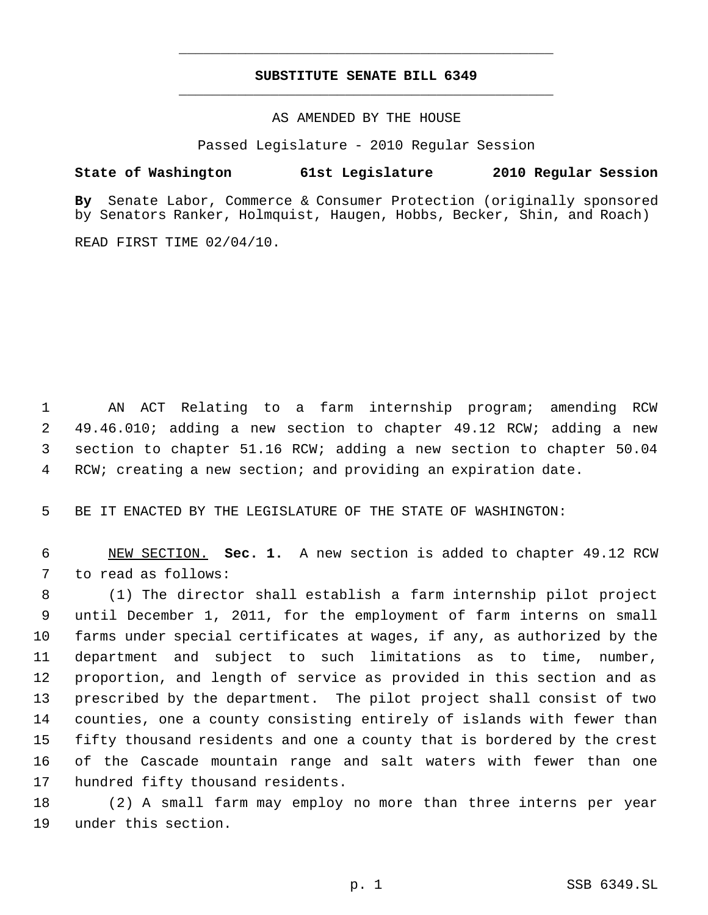## **SUBSTITUTE SENATE BILL 6349** \_\_\_\_\_\_\_\_\_\_\_\_\_\_\_\_\_\_\_\_\_\_\_\_\_\_\_\_\_\_\_\_\_\_\_\_\_\_\_\_\_\_\_\_\_

\_\_\_\_\_\_\_\_\_\_\_\_\_\_\_\_\_\_\_\_\_\_\_\_\_\_\_\_\_\_\_\_\_\_\_\_\_\_\_\_\_\_\_\_\_

AS AMENDED BY THE HOUSE

Passed Legislature - 2010 Regular Session

### **State of Washington 61st Legislature 2010 Regular Session**

**By** Senate Labor, Commerce & Consumer Protection (originally sponsored by Senators Ranker, Holmquist, Haugen, Hobbs, Becker, Shin, and Roach)

READ FIRST TIME 02/04/10.

 AN ACT Relating to a farm internship program; amending RCW 49.46.010; adding a new section to chapter 49.12 RCW; adding a new section to chapter 51.16 RCW; adding a new section to chapter 50.04 RCW; creating a new section; and providing an expiration date.

BE IT ENACTED BY THE LEGISLATURE OF THE STATE OF WASHINGTON:

 NEW SECTION. **Sec. 1.** A new section is added to chapter 49.12 RCW to read as follows:

 (1) The director shall establish a farm internship pilot project until December 1, 2011, for the employment of farm interns on small farms under special certificates at wages, if any, as authorized by the department and subject to such limitations as to time, number, proportion, and length of service as provided in this section and as prescribed by the department. The pilot project shall consist of two counties, one a county consisting entirely of islands with fewer than fifty thousand residents and one a county that is bordered by the crest of the Cascade mountain range and salt waters with fewer than one hundred fifty thousand residents.

 (2) A small farm may employ no more than three interns per year under this section.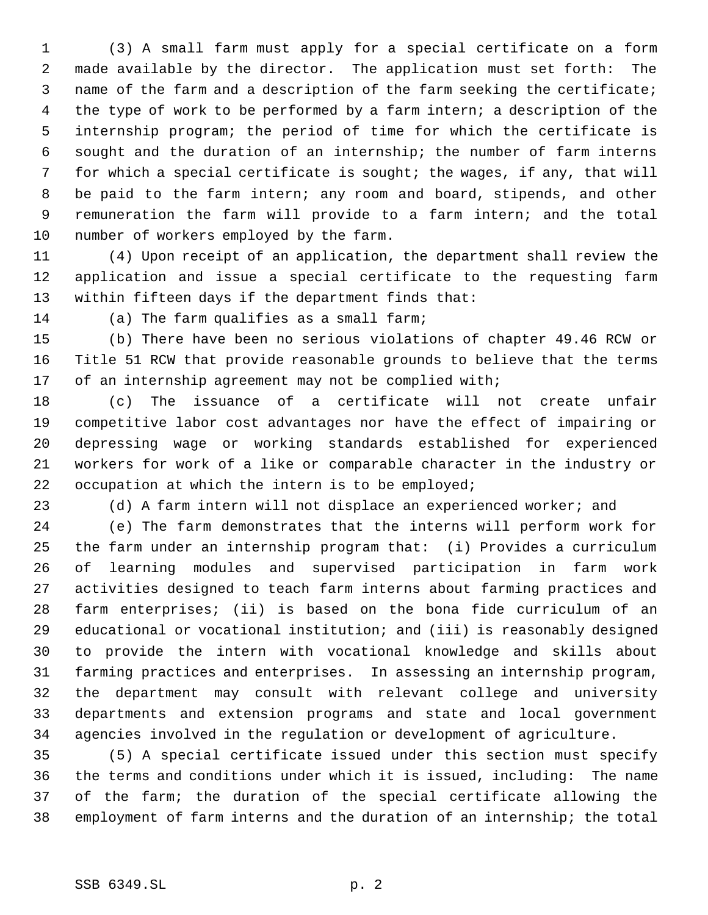(3) A small farm must apply for a special certificate on a form made available by the director. The application must set forth: The name of the farm and a description of the farm seeking the certificate; the type of work to be performed by a farm intern; a description of the internship program; the period of time for which the certificate is sought and the duration of an internship; the number of farm interns for which a special certificate is sought; the wages, if any, that will be paid to the farm intern; any room and board, stipends, and other remuneration the farm will provide to a farm intern; and the total number of workers employed by the farm.

 (4) Upon receipt of an application, the department shall review the application and issue a special certificate to the requesting farm within fifteen days if the department finds that:

(a) The farm qualifies as a small farm;

 (b) There have been no serious violations of chapter 49.46 RCW or Title 51 RCW that provide reasonable grounds to believe that the terms 17 of an internship agreement may not be complied with;

 (c) The issuance of a certificate will not create unfair competitive labor cost advantages nor have the effect of impairing or depressing wage or working standards established for experienced workers for work of a like or comparable character in the industry or occupation at which the intern is to be employed;

(d) A farm intern will not displace an experienced worker; and

 (e) The farm demonstrates that the interns will perform work for the farm under an internship program that: (i) Provides a curriculum of learning modules and supervised participation in farm work activities designed to teach farm interns about farming practices and farm enterprises; (ii) is based on the bona fide curriculum of an educational or vocational institution; and (iii) is reasonably designed to provide the intern with vocational knowledge and skills about farming practices and enterprises. In assessing an internship program, the department may consult with relevant college and university departments and extension programs and state and local government agencies involved in the regulation or development of agriculture.

 (5) A special certificate issued under this section must specify the terms and conditions under which it is issued, including: The name of the farm; the duration of the special certificate allowing the employment of farm interns and the duration of an internship; the total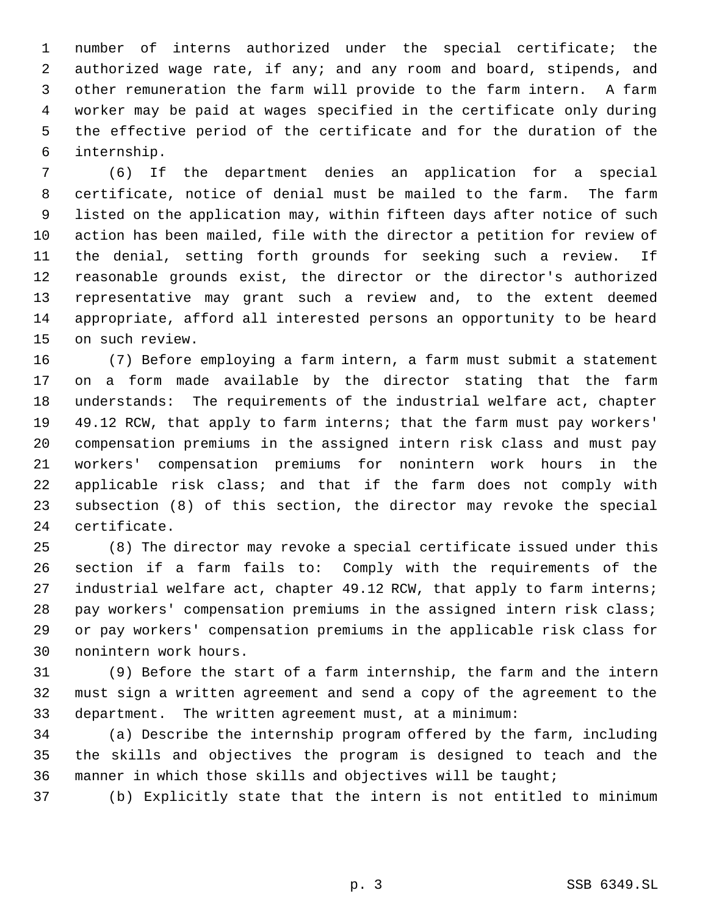number of interns authorized under the special certificate; the authorized wage rate, if any; and any room and board, stipends, and other remuneration the farm will provide to the farm intern. A farm worker may be paid at wages specified in the certificate only during the effective period of the certificate and for the duration of the internship.

 (6) If the department denies an application for a special certificate, notice of denial must be mailed to the farm. The farm listed on the application may, within fifteen days after notice of such action has been mailed, file with the director a petition for review of the denial, setting forth grounds for seeking such a review. If reasonable grounds exist, the director or the director's authorized representative may grant such a review and, to the extent deemed appropriate, afford all interested persons an opportunity to be heard on such review.

 (7) Before employing a farm intern, a farm must submit a statement on a form made available by the director stating that the farm understands: The requirements of the industrial welfare act, chapter 49.12 RCW, that apply to farm interns; that the farm must pay workers' compensation premiums in the assigned intern risk class and must pay workers' compensation premiums for nonintern work hours in the applicable risk class; and that if the farm does not comply with subsection (8) of this section, the director may revoke the special certificate.

 (8) The director may revoke a special certificate issued under this section if a farm fails to: Comply with the requirements of the 27 industrial welfare act, chapter 49.12 RCW, that apply to farm interns; pay workers' compensation premiums in the assigned intern risk class; or pay workers' compensation premiums in the applicable risk class for nonintern work hours.

 (9) Before the start of a farm internship, the farm and the intern must sign a written agreement and send a copy of the agreement to the department. The written agreement must, at a minimum:

 (a) Describe the internship program offered by the farm, including the skills and objectives the program is designed to teach and the manner in which those skills and objectives will be taught;

(b) Explicitly state that the intern is not entitled to minimum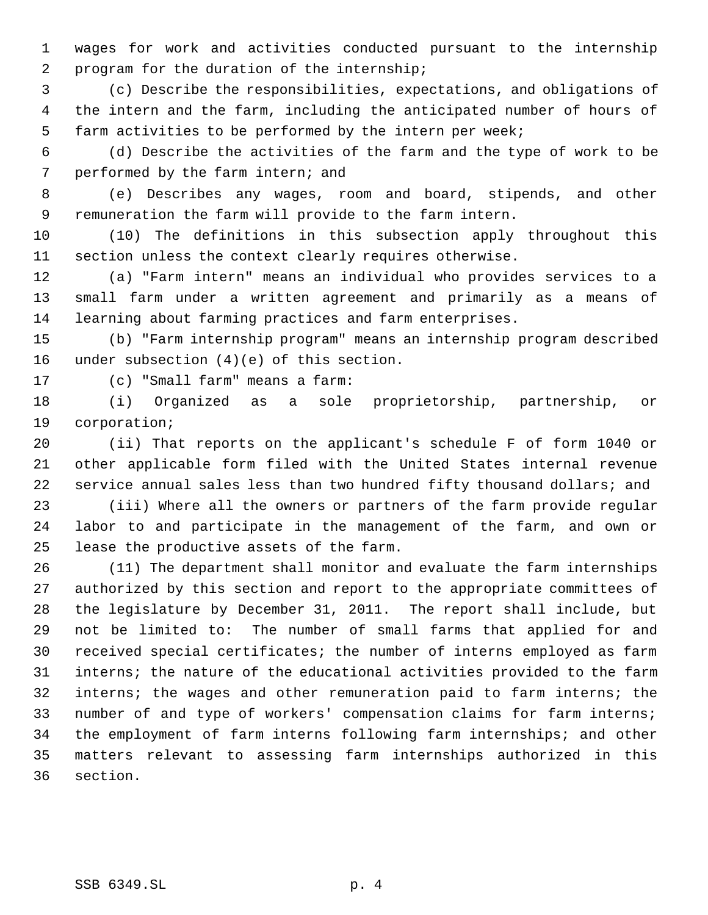wages for work and activities conducted pursuant to the internship program for the duration of the internship;

 (c) Describe the responsibilities, expectations, and obligations of the intern and the farm, including the anticipated number of hours of farm activities to be performed by the intern per week;

 (d) Describe the activities of the farm and the type of work to be performed by the farm intern; and

 (e) Describes any wages, room and board, stipends, and other remuneration the farm will provide to the farm intern.

 (10) The definitions in this subsection apply throughout this section unless the context clearly requires otherwise.

 (a) "Farm intern" means an individual who provides services to a small farm under a written agreement and primarily as a means of learning about farming practices and farm enterprises.

 (b) "Farm internship program" means an internship program described under subsection (4)(e) of this section.

(c) "Small farm" means a farm:

 (i) Organized as a sole proprietorship, partnership, or corporation;

 (ii) That reports on the applicant's schedule F of form 1040 or other applicable form filed with the United States internal revenue service annual sales less than two hundred fifty thousand dollars; and

 (iii) Where all the owners or partners of the farm provide regular labor to and participate in the management of the farm, and own or lease the productive assets of the farm.

 (11) The department shall monitor and evaluate the farm internships authorized by this section and report to the appropriate committees of the legislature by December 31, 2011. The report shall include, but not be limited to: The number of small farms that applied for and received special certificates; the number of interns employed as farm interns; the nature of the educational activities provided to the farm interns; the wages and other remuneration paid to farm interns; the number of and type of workers' compensation claims for farm interns; the employment of farm interns following farm internships; and other matters relevant to assessing farm internships authorized in this section.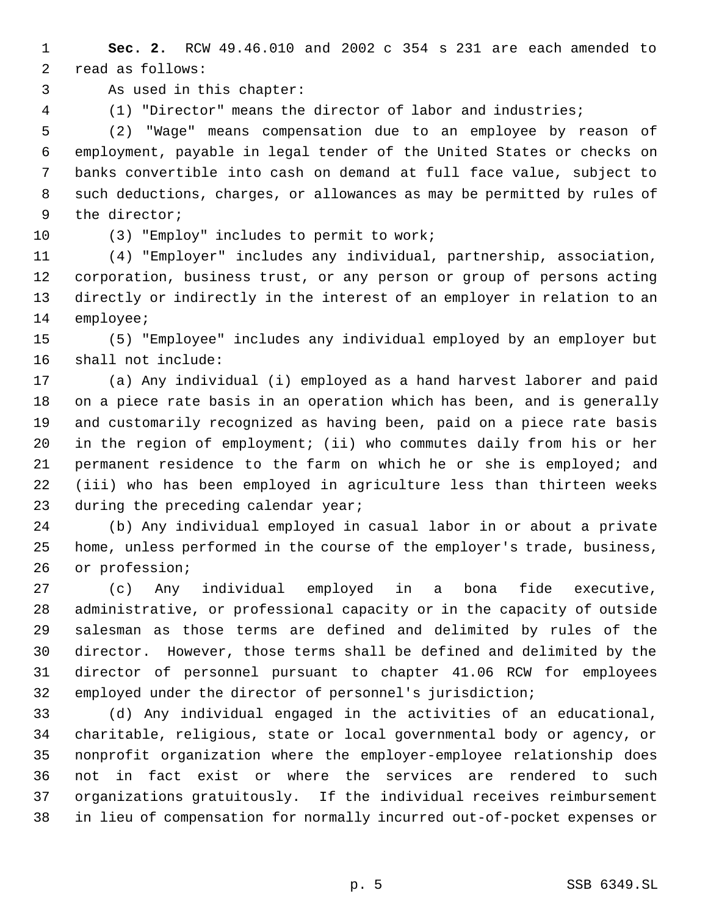**Sec. 2.** RCW 49.46.010 and 2002 c 354 s 231 are each amended to read as follows:

As used in this chapter:

(1) "Director" means the director of labor and industries;

 (2) "Wage" means compensation due to an employee by reason of employment, payable in legal tender of the United States or checks on banks convertible into cash on demand at full face value, subject to such deductions, charges, or allowances as may be permitted by rules of the director;

(3) "Employ" includes to permit to work;

 (4) "Employer" includes any individual, partnership, association, corporation, business trust, or any person or group of persons acting directly or indirectly in the interest of an employer in relation to an employee;

 (5) "Employee" includes any individual employed by an employer but shall not include:

 (a) Any individual (i) employed as a hand harvest laborer and paid on a piece rate basis in an operation which has been, and is generally and customarily recognized as having been, paid on a piece rate basis in the region of employment; (ii) who commutes daily from his or her permanent residence to the farm on which he or she is employed; and (iii) who has been employed in agriculture less than thirteen weeks 23 during the preceding calendar year;

 (b) Any individual employed in casual labor in or about a private home, unless performed in the course of the employer's trade, business, or profession;

 (c) Any individual employed in a bona fide executive, administrative, or professional capacity or in the capacity of outside salesman as those terms are defined and delimited by rules of the director. However, those terms shall be defined and delimited by the director of personnel pursuant to chapter 41.06 RCW for employees employed under the director of personnel's jurisdiction;

 (d) Any individual engaged in the activities of an educational, charitable, religious, state or local governmental body or agency, or nonprofit organization where the employer-employee relationship does not in fact exist or where the services are rendered to such organizations gratuitously. If the individual receives reimbursement in lieu of compensation for normally incurred out-of-pocket expenses or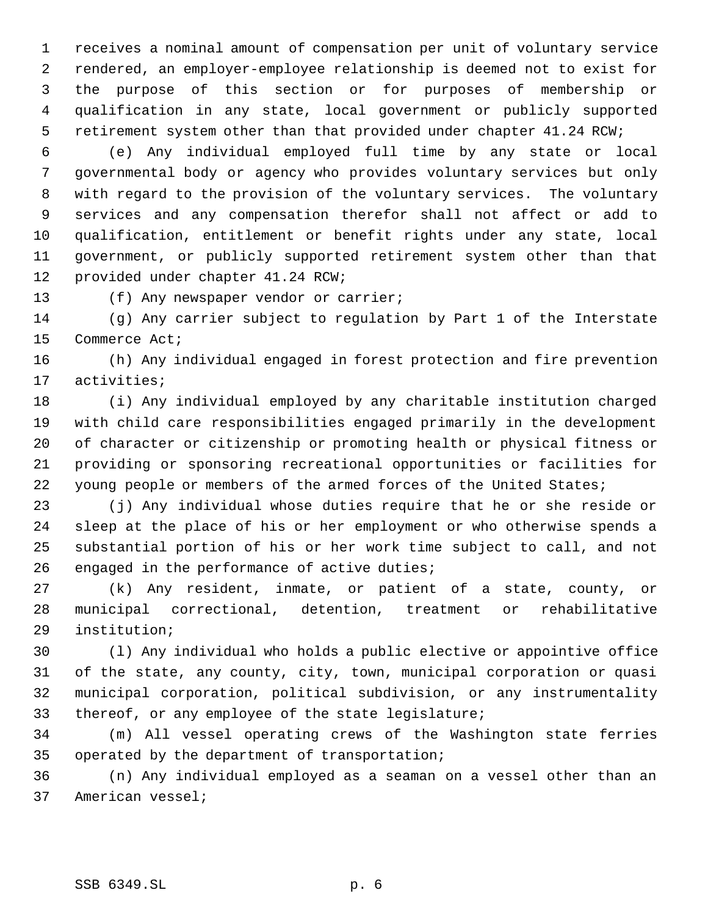receives a nominal amount of compensation per unit of voluntary service rendered, an employer-employee relationship is deemed not to exist for the purpose of this section or for purposes of membership or qualification in any state, local government or publicly supported retirement system other than that provided under chapter 41.24 RCW;

 (e) Any individual employed full time by any state or local governmental body or agency who provides voluntary services but only with regard to the provision of the voluntary services. The voluntary services and any compensation therefor shall not affect or add to qualification, entitlement or benefit rights under any state, local government, or publicly supported retirement system other than that provided under chapter 41.24 RCW;

(f) Any newspaper vendor or carrier;

 (g) Any carrier subject to regulation by Part 1 of the Interstate Commerce Act;

 (h) Any individual engaged in forest protection and fire prevention activities;

 (i) Any individual employed by any charitable institution charged with child care responsibilities engaged primarily in the development of character or citizenship or promoting health or physical fitness or providing or sponsoring recreational opportunities or facilities for 22 young people or members of the armed forces of the United States;

 (j) Any individual whose duties require that he or she reside or sleep at the place of his or her employment or who otherwise spends a substantial portion of his or her work time subject to call, and not engaged in the performance of active duties;

 (k) Any resident, inmate, or patient of a state, county, or municipal correctional, detention, treatment or rehabilitative institution;

 (l) Any individual who holds a public elective or appointive office of the state, any county, city, town, municipal corporation or quasi municipal corporation, political subdivision, or any instrumentality thereof, or any employee of the state legislature;

 (m) All vessel operating crews of the Washington state ferries operated by the department of transportation;

 (n) Any individual employed as a seaman on a vessel other than an American vessel;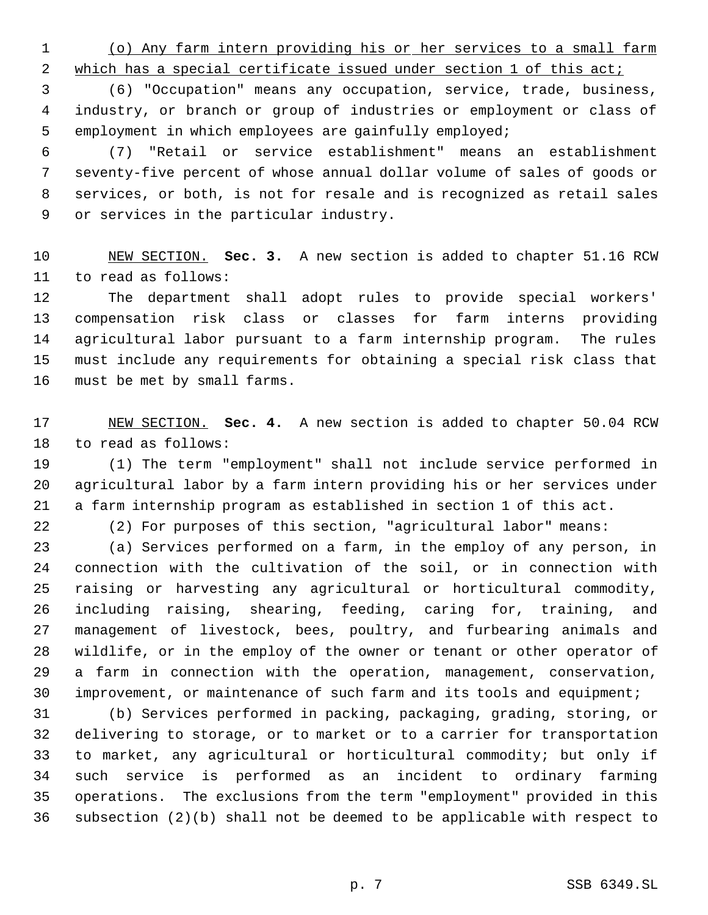(o) Any farm intern providing his or her services to a small farm

2 which has a special certificate issued under section 1 of this act;

 (6) "Occupation" means any occupation, service, trade, business, industry, or branch or group of industries or employment or class of employment in which employees are gainfully employed;

 (7) "Retail or service establishment" means an establishment seventy-five percent of whose annual dollar volume of sales of goods or services, or both, is not for resale and is recognized as retail sales or services in the particular industry.

 NEW SECTION. **Sec. 3.** A new section is added to chapter 51.16 RCW to read as follows:

 The department shall adopt rules to provide special workers' compensation risk class or classes for farm interns providing agricultural labor pursuant to a farm internship program. The rules must include any requirements for obtaining a special risk class that must be met by small farms.

 NEW SECTION. **Sec. 4.** A new section is added to chapter 50.04 RCW to read as follows:

 (1) The term "employment" shall not include service performed in agricultural labor by a farm intern providing his or her services under a farm internship program as established in section 1 of this act.

(2) For purposes of this section, "agricultural labor" means:

 (a) Services performed on a farm, in the employ of any person, in connection with the cultivation of the soil, or in connection with raising or harvesting any agricultural or horticultural commodity, including raising, shearing, feeding, caring for, training, and management of livestock, bees, poultry, and furbearing animals and wildlife, or in the employ of the owner or tenant or other operator of a farm in connection with the operation, management, conservation, improvement, or maintenance of such farm and its tools and equipment;

 (b) Services performed in packing, packaging, grading, storing, or delivering to storage, or to market or to a carrier for transportation to market, any agricultural or horticultural commodity; but only if such service is performed as an incident to ordinary farming operations. The exclusions from the term "employment" provided in this subsection (2)(b) shall not be deemed to be applicable with respect to